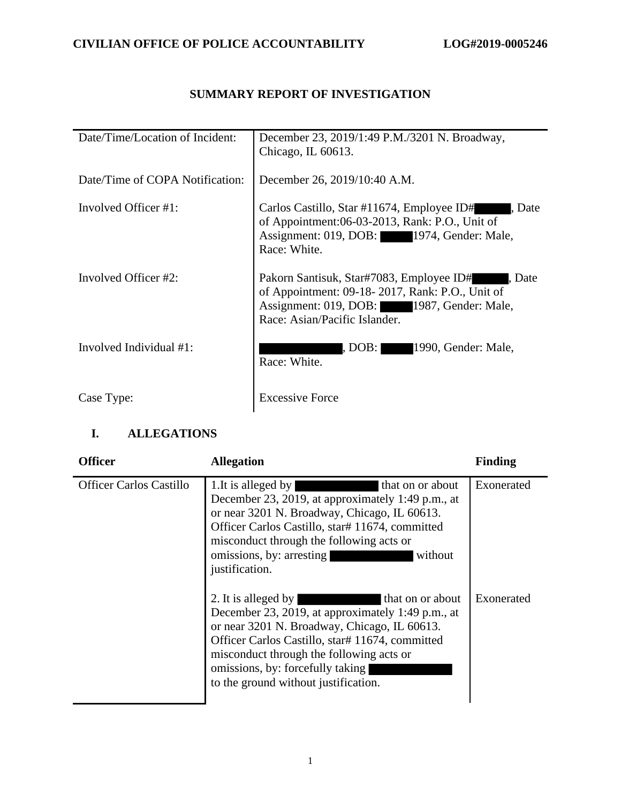# **SUMMARY REPORT OF INVESTIGATION**

| Date/Time/Location of Incident: | December 23, 2019/1:49 P.M./3201 N. Broadway,<br>Chicago, IL $60613$ .                                                                                                               |
|---------------------------------|--------------------------------------------------------------------------------------------------------------------------------------------------------------------------------------|
| Date/Time of COPA Notification: | December 26, 2019/10:40 A.M.                                                                                                                                                         |
| Involved Officer #1:            | Carlos Castillo, Star #11674, Employee ID#<br>. Date<br>of Appointment:06-03-2013, Rank: P.O., Unit of<br>Assignment: 019, DOB: 1974, Gender: Male,<br>Race: White.                  |
| Involved Officer #2:            | Pakorn Santisuk, Star#7083, Employee ID#<br>l. Date<br>of Appointment: 09-18-2017, Rank: P.O., Unit of<br>Assignment: 019, DOB: 1987, Gender: Male,<br>Race: Asian/Pacific Islander. |
| Involved Individual #1:         | 1990, Gender: Male,<br>, $DOB$ :<br>Race: White.                                                                                                                                     |
| Case Type:                      | <b>Excessive Force</b>                                                                                                                                                               |

# **I. ALLEGATIONS**

| <b>Officer</b>                 | <b>Allegation</b>                                                                                                                                                                                                                                                                                                       | Finding    |
|--------------------------------|-------------------------------------------------------------------------------------------------------------------------------------------------------------------------------------------------------------------------------------------------------------------------------------------------------------------------|------------|
| <b>Officer Carlos Castillo</b> | 1. It is alleged by<br>that on or about<br>December 23, 2019, at approximately 1:49 p.m., at<br>or near 3201 N. Broadway, Chicago, IL 60613.<br>Officer Carlos Castillo, star# 11674, committed<br>misconduct through the following acts or<br>omissions, by: arresting<br>without<br>justification.                    | Exonerated |
|                                | 2. It is alleged by<br>that on or about<br>December 23, 2019, at approximately 1:49 p.m., at<br>or near 3201 N. Broadway, Chicago, IL 60613.<br>Officer Carlos Castillo, star# 11674, committed<br>misconduct through the following acts or<br>omissions, by: forcefully taking<br>to the ground without justification. | Exonerated |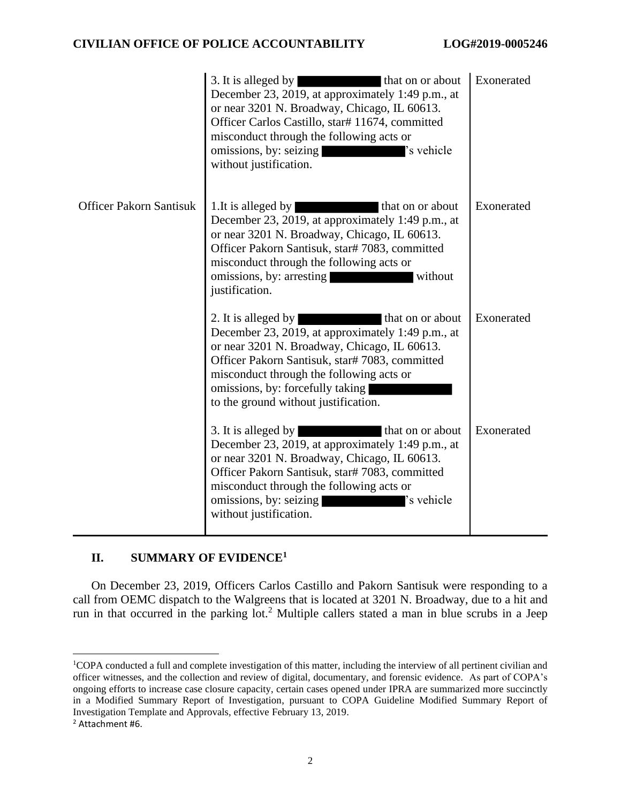#### **CIVILIAN OFFICE OF POLICE ACCOUNTABILITY LOG#2019-0005246**

|                                | 3. It is alleged by<br>that on or about<br>December 23, 2019, at approximately 1:49 p.m., at<br>or near 3201 N. Broadway, Chicago, IL 60613.<br>Officer Carlos Castillo, star# 11674, committed<br>misconduct through the following acts or<br>'s vehicle<br>omissions, by: seizing<br>without justification.          | Exonerated |
|--------------------------------|------------------------------------------------------------------------------------------------------------------------------------------------------------------------------------------------------------------------------------------------------------------------------------------------------------------------|------------|
| <b>Officer Pakorn Santisuk</b> | 1. It is alleged by<br>that on or about<br>December 23, 2019, at approximately 1:49 p.m., at<br>or near 3201 N. Broadway, Chicago, IL 60613.<br>Officer Pakorn Santisuk, star# 7083, committed<br>misconduct through the following acts or<br>omissions, by: arresting<br>without<br>justification.                    | Exonerated |
|                                | 2. It is alleged by<br>that on or about<br>December 23, 2019, at approximately 1:49 p.m., at<br>or near 3201 N. Broadway, Chicago, IL 60613.<br>Officer Pakorn Santisuk, star# 7083, committed<br>misconduct through the following acts or<br>omissions, by: forcefully taking<br>to the ground without justification. | Exonerated |
|                                | 3. It is alleged by<br>that on or about<br>December 23, 2019, at approximately 1:49 p.m., at<br>or near 3201 N. Broadway, Chicago, IL 60613.<br>Officer Pakorn Santisuk, star# 7083, committed<br>misconduct through the following acts or<br>omissions, by: seizing<br>'s vehicle<br>without justification.           | Exonerated |

### **II. SUMMARY OF EVIDENCE<sup>1</sup>**

On December 23, 2019, Officers Carlos Castillo and Pakorn Santisuk were responding to a call from OEMC dispatch to the Walgreens that is located at 3201 N. Broadway, due to a hit and run in that occurred in the parking lot.<sup>2</sup> Multiple callers stated a man in blue scrubs in a Jeep

<sup>1</sup>COPA conducted a full and complete investigation of this matter, including the interview of all pertinent civilian and officer witnesses, and the collection and review of digital, documentary, and forensic evidence. As part of COPA's ongoing efforts to increase case closure capacity, certain cases opened under IPRA are summarized more succinctly in a Modified Summary Report of Investigation, pursuant to COPA Guideline Modified Summary Report of Investigation Template and Approvals, effective February 13, 2019.

<sup>2</sup> Attachment #6.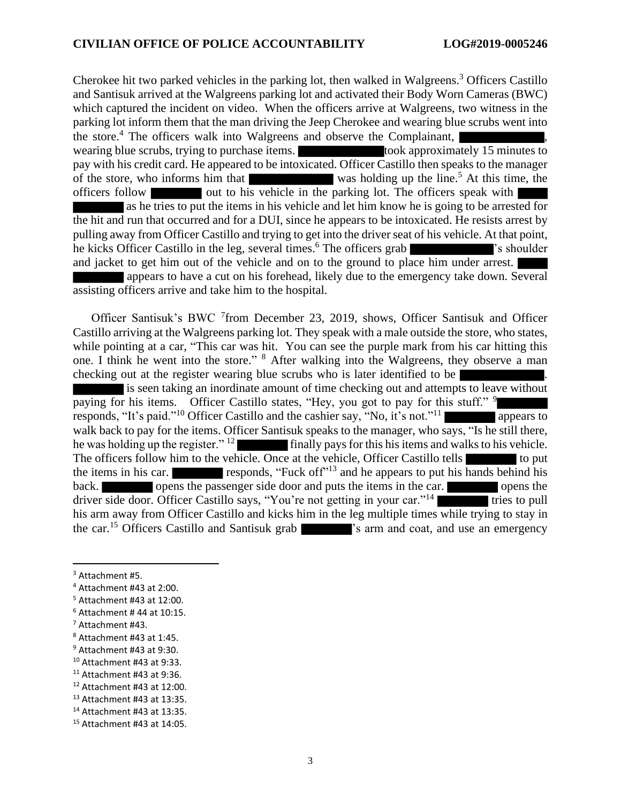Cherokee hit two parked vehicles in the parking lot, then walked in Walgreens. <sup>3</sup> Officers Castillo and Santisuk arrived at the Walgreens parking lot and activated their Body Worn Cameras (BWC) which captured the incident on video. When the officers arrive at Walgreens, two witness in the parking lot inform them that the man driving the Jeep Cherokee and wearing blue scrubs went into the store.<sup>4</sup> The officers walk into Walgreens and observe the Complainant,  $\vert$ wearing blue scrubs, trying to purchase items. took approximately 15 minutes to pay with his credit card. He appeared to be intoxicated. Officer Castillo then speaks to the manager of the store, who informs him that was holding up the line.<sup>5</sup> At this time, the officers follow out to his vehicle in the parking lot. The officers speak with as he tries to put the items in his vehicle and let him know he is going to be arrested for the hit and run that occurred and for a DUI, since he appears to be intoxicated. He resists arrest by pulling away from Officer Castillo and trying to get into the driver seat of his vehicle. At that point, he kicks Officer Castillo in the leg, several times.<sup>6</sup> The officers grab **'s** shoulder and jacket to get him out of the vehicle and on to the ground to place him under arrest. appears to have a cut on his forehead, likely due to the emergency take down. Several

assisting officers arrive and take him to the hospital.

Officer Santisuk's BWC <sup>7</sup>from December 23, 2019, shows, Officer Santisuk and Officer Castillo arriving at the Walgreens parking lot. They speak with a male outside the store, who states, while pointing at a car, "This car was hit. You can see the purple mark from his car hitting this one. I think he went into the store." <sup>8</sup> After walking into the Walgreens, they observe a man checking out at the register wearing blue scrubs who is later identified to be is seen taking an inordinate amount of time checking out and attempts to leave without paying for his items. Officer Castillo states, "Hey, you got to pay for this stuff." <sup>9</sup> responds, "It's paid."<sup>10</sup> Officer Castillo and the cashier say, "No, it's not."<sup>11</sup> walk back to pay for the items. Officer Santisuk speaks to the manager, who says, "Is he still there, he was holding up the register."  $12$  finally pays for this his items and walks to his vehicle. The officers follow him to the vehicle. Once at the vehicle, Officer Castillo tells to put the items in his car. responds, "Fuck of  $f^{\prime\prime}$ <sup>13</sup> and he appears to put his hands behind his back. opens the passenger side door and puts the items in the car. driver side door. Officer Castillo says, "You're not getting in your car."<sup>14</sup> tries to pull his arm away from Officer Castillo and kicks him in the leg multiple times while trying to stay in the car.<sup>15</sup> Officers Castillo and Santisuk grab <sup>'</sup>'s arm and coat, and use an emergency

<sup>11</sup> Attachment #43 at 9:36.

<sup>3</sup> Attachment #5.

<sup>4</sup> Attachment #43 at 2:00.

<sup>5</sup> Attachment #43 at 12:00.

 $6$  Attachment # 44 at 10:15.

<sup>7</sup> Attachment #43.

<sup>8</sup> Attachment #43 at 1:45.

<sup>9</sup> Attachment #43 at 9:30.

<sup>10</sup> Attachment #43 at 9:33.

<sup>12</sup> Attachment #43 at 12:00.

<sup>13</sup> Attachment #43 at 13:35.

<sup>14</sup> Attachment #43 at 13:35.

<sup>15</sup> Attachment #43 at 14:05.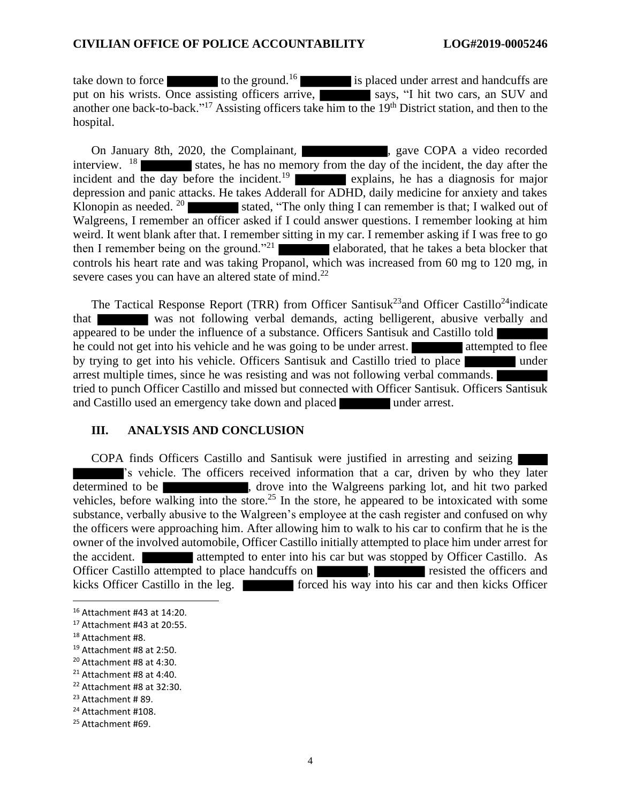take down to force  $\sim$  to the ground.<sup>16</sup> is placed under arrest and handcuffs are put on his wrists. Once assisting officers arrive, says, "I hit two cars, an SUV and another one back-to-back."<sup>17</sup> Assisting officers take him to the 19<sup>th</sup> District station, and then to the hospital.

On January 8th, 2020, the Complainant, state of the copy and a video recorded interview.  $18$  states, he has no memory from the day of the incident, the day after the incident and the day before the incident.<sup>19</sup> explains, he has a diagnosis for major depression and panic attacks. He takes Adderall for ADHD, daily medicine for anxiety and takes Klonopin as needed.  $20$  stated, "The only thing I can remember is that; I walked out of Walgreens, I remember an officer asked if I could answer questions. I remember looking at him weird. It went blank after that. I remember sitting in my car. I remember asking if I was free to go then I remember being on the ground."<sup>21</sup> elaborated, that he takes a beta blocker that controls his heart rate and was taking Propanol, which was increased from 60 mg to 120 mg, in severe cases you can have an altered state of mind.<sup>22</sup>

The Tactical Response Report (TRR) from Officer Santisuk<sup>23</sup> and Officer Castillo<sup>24</sup>indicate that was not following verbal demands, acting belligerent, abusive verbally and appeared to be under the influence of a substance. Officers Santisuk and Castillo told he could not get into his vehicle and he was going to be under arrest. by trying to get into his vehicle. Officers Santisuk and Castillo tried to place arrest multiple times, since he was resisting and was not following verbal commands. tried to punch Officer Castillo and missed but connected with Officer Santisuk. Officers Santisuk and Castillo used an emergency take down and placed under arrest.

#### **III. ANALYSIS AND CONCLUSION**

COPA finds Officers Castillo and Santisuk were justified in arresting and seizing 's vehicle. The officers received information that a car, driven by who they later determined to be  $\blacksquare$ , drove into the Walgreens parking lot, and hit two parked vehicles, before walking into the store.<sup>25</sup> In the store, he appeared to be intoxicated with some substance, verbally abusive to the Walgreen's employee at the cash register and confused on why the officers were approaching him. After allowing him to walk to his car to confirm that he is the owner of the involved automobile, Officer Castillo initially attempted to place him under arrest for the accident. **attempted to enter into his car but was stopped by Officer Castillo.** As Officer Castillo attempted to place handcuffs on **the contract of the officers** and resisted the officers and kicks Officer Castillo in the leg. **Forced his way into his car and then kicks Officer** 

<sup>16</sup> Attachment #43 at 14:20.

<sup>17</sup> Attachment #43 at 20:55.

<sup>18</sup> Attachment #8.

<sup>19</sup> Attachment #8 at 2:50.

<sup>20</sup> Attachment #8 at 4:30.

<sup>21</sup> Attachment #8 at 4:40.

<sup>22</sup> Attachment #8 at 32:30.

<sup>23</sup> Attachment # 89.

<sup>24</sup> Attachment #108.

<sup>25</sup> Attachment #69.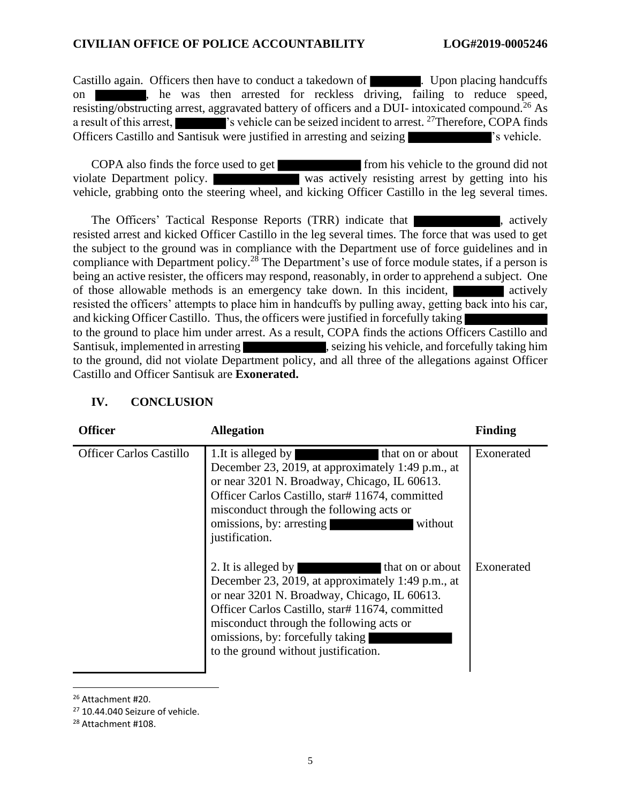Castillo again. Officers then have to conduct a takedown of **Example 1.** Upon placing handcuffs on , he was then arrested for reckless driving, failing to reduce speed, resisting/obstructing arrest, aggravated battery of officers and a DUI- intoxicated compound.<sup>26</sup> As a result of this arrest,  $\blacksquare$  's vehicle can be seized incident to arrest. <sup>27</sup>Therefore, COPA finds Officers Castillo and Santisuk were justified in arresting and seizing 's vehicle.

COPA also finds the force used to get from his vehicle to the ground did not violate Department policy. was actively resisting arrest by getting into his vehicle, grabbing onto the steering wheel, and kicking Officer Castillo in the leg several times.

The Officers' Tactical Response Reports (TRR) indicate that , actively resisted arrest and kicked Officer Castillo in the leg several times. The force that was used to get the subject to the ground was in compliance with the Department use of force guidelines and in compliance with Department policy.<sup>28</sup> The Department's use of force module states, if a person is being an active resister, the officers may respond, reasonably, in order to apprehend a subject. One of those allowable methods is an emergency take down. In this incident, resisted the officers' attempts to place him in handcuffs by pulling away, getting back into his car, and kicking Officer Castillo. Thus, the officers were justified in forcefully taking to the ground to place him under arrest. As a result, COPA finds the actions Officers Castillo and Santisuk, implemented in arresting states were seen in seizing his vehicle, and forcefully taking him to the ground, did not violate Department policy, and all three of the allegations against Officer Castillo and Officer Santisuk are **Exonerated.**

| <b>Officer</b>                 | <b>Allegation</b>                                                                                                                                                                                                                                                                                                                                                                                                                                    | <b>Finding</b>           |
|--------------------------------|------------------------------------------------------------------------------------------------------------------------------------------------------------------------------------------------------------------------------------------------------------------------------------------------------------------------------------------------------------------------------------------------------------------------------------------------------|--------------------------|
| <b>Officer Carlos Castillo</b> | 1. It is alleged by<br>that on or about<br>December 23, 2019, at approximately 1:49 p.m., at<br>or near 3201 N. Broadway, Chicago, IL 60613.<br>Officer Carlos Castillo, star# 11674, committed<br>misconduct through the following acts or<br>omissions, by: arresting<br>without<br>justification.<br>that on or about<br>2. It is alleged by<br>December 23, 2019, at approximately 1:49 p.m., at<br>or near 3201 N. Broadway, Chicago, IL 60613. | Exonerated<br>Exonerated |
|                                | Officer Carlos Castillo, star# 11674, committed<br>misconduct through the following acts or<br>omissions, by: forcefully taking<br>to the ground without justification.                                                                                                                                                                                                                                                                              |                          |

#### **IV. CONCLUSION**

<sup>26</sup> Attachment #20.

<sup>&</sup>lt;sup>27</sup> 10.44.040 Seizure of vehicle.

<sup>28</sup> Attachment #108.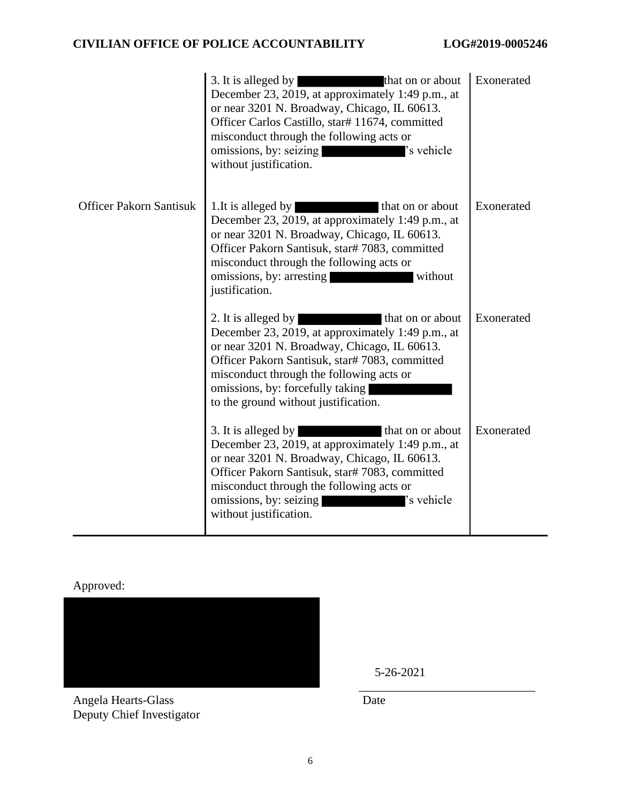## **CIVILIAN OFFICE OF POLICE ACCOUNTABILITY LOG#2019-0005246**

|                                | 3. It is alleged by<br>that on or about<br>December 23, 2019, at approximately 1:49 p.m., at<br>or near 3201 N. Broadway, Chicago, IL 60613.<br>Officer Carlos Castillo, star# 11674, committed<br>misconduct through the following acts or<br>'s vehicle<br>omissions, by: seizing<br>without justification.          | Exonerated |
|--------------------------------|------------------------------------------------------------------------------------------------------------------------------------------------------------------------------------------------------------------------------------------------------------------------------------------------------------------------|------------|
| <b>Officer Pakorn Santisuk</b> | 1. It is alleged by<br>that on or about<br>December 23, 2019, at approximately 1:49 p.m., at<br>or near 3201 N. Broadway, Chicago, IL 60613.<br>Officer Pakorn Santisuk, star# 7083, committed<br>misconduct through the following acts or<br>omissions, by: arresting<br>without<br>justification.                    | Exonerated |
|                                | 2. It is alleged by<br>that on or about<br>December 23, 2019, at approximately 1:49 p.m., at<br>or near 3201 N. Broadway, Chicago, IL 60613.<br>Officer Pakorn Santisuk, star# 7083, committed<br>misconduct through the following acts or<br>omissions, by: forcefully taking<br>to the ground without justification. | Exonerated |
|                                | 3. It is alleged by<br>that on or about<br>December 23, 2019, at approximately 1:49 p.m., at<br>or near 3201 N. Broadway, Chicago, IL 60613.<br>Officer Pakorn Santisuk, star# 7083, committed<br>misconduct through the following acts or<br>omissions, by: seizing<br>'s vehicle<br>without justification.           | Exonerated |

Approved:



Angela Hearts-Glass Date Deputy Chief Investigator

5-26-2021

\_\_\_\_\_\_\_\_\_\_\_\_\_\_\_\_\_\_\_\_\_\_\_\_\_\_\_\_\_